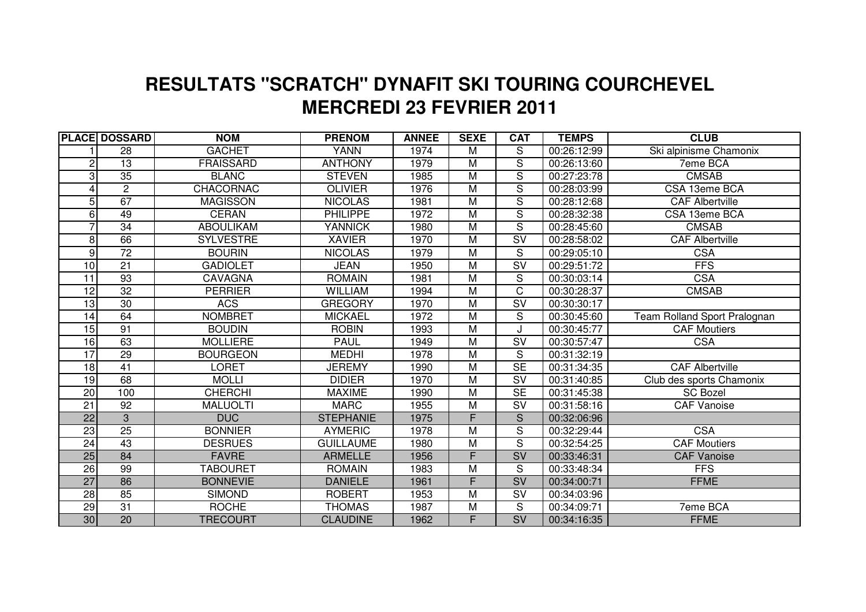## **MERCREDI 23 FEVRIER 2011 RESULTATS "SCRATCH" DYNAFIT SKI TOURING COURCHEVEL**

|                 | <b>PLACE DOSSARD</b> | <b>NOM</b>       | <b>PRENOM</b>    | <b>ANNEE</b> | <b>SEXE</b>    | <b>CAT</b>                        | <b>TEMPS</b> | <b>CLUB</b>                  |
|-----------------|----------------------|------------------|------------------|--------------|----------------|-----------------------------------|--------------|------------------------------|
|                 | 28                   | <b>GACHET</b>    | <b>YANN</b>      | 1974         | M              | S                                 | 00:26:12:99  | Ski alpinisme Chamonix       |
| 2               | 13                   | <b>FRAISSARD</b> | <b>ANTHONY</b>   | 1979         | M              | $\overline{s}$                    | 00:26:13:60  | 7eme BCA                     |
| 3               | $\overline{35}$      | <b>BLANC</b>     | <b>STEVEN</b>    | 1985         | M              | S                                 | 00:27:23:78  | <b>CMSAB</b>                 |
|                 | $\overline{2}$       | <b>CHACORNAC</b> | <b>OLIVIER</b>   | 1976         | $\overline{M}$ | $\overline{\mathsf{s}}$           | 00:28:03:99  | CSA 13eme BCA                |
| 5               | 67                   | <b>MAGISSON</b>  | <b>NICOLAS</b>   | 1981         | M              | S                                 | 00:28:12:68  | <b>CAF Albertville</b>       |
| 6               | 49                   | <b>CERAN</b>     | <b>PHILIPPE</b>  | 1972         | $\overline{M}$ | $\overline{s}$                    | 00:28:32:38  | CSA 13eme BCA                |
|                 | 34                   | <b>ABOULIKAM</b> | <b>YANNICK</b>   | 1980         | M              | S                                 | 00:28:45:60  | <b>CMSAB</b>                 |
| 8               | 66                   | <b>SYLVESTRE</b> | <b>XAVIER</b>    | 1970         | M              | $\overline{\mathsf{SV}}$          | 00:28:58:02  | CAF Albertville              |
| 9               | $\overline{72}$      | <b>BOURIN</b>    | <b>NICOLAS</b>   | 1979         | M              | S                                 | 00:29:05:10  | <b>CSA</b>                   |
| $\overline{10}$ | 21                   | <b>GADIOLET</b>  | <b>JEAN</b>      | 1950         | M              | $\overline{\mathsf{S}}\mathsf{V}$ | 00:29:51:72  | <b>FFS</b>                   |
| 11              | 93                   | <b>CAVAGNA</b>   | <b>ROMAIN</b>    | 1981         | M              | $\overline{\mathsf{S}}$           | 00:30:03:14  | <b>CSA</b>                   |
| 12              | $\overline{32}$      | <b>PERRIER</b>   | <b>WILLIAM</b>   | 1994         | M              | C                                 | 00:30:28:37  | <b>CMSAB</b>                 |
| $\overline{13}$ | 30                   | <b>ACS</b>       | <b>GREGORY</b>   | 1970         | M              | $\overline{\mathsf{SV}}$          | 00:30:30:17  |                              |
| 14              | 64                   | <b>NOMBRET</b>   | <b>MICKAEL</b>   | 1972         | M              | $\overline{s}$                    | 00:30:45:60  | Team Rolland Sport Pralognan |
| $\overline{15}$ | 91                   | <b>BOUDIN</b>    | <b>ROBIN</b>     | 1993         | M              |                                   | 00:30:45:77  | <b>CAF Moutiers</b>          |
| 16              | 63                   | <b>MOLLIERE</b>  | <b>PAUL</b>      | 1949         | $\overline{M}$ | $\overline{\mathsf{SV}}$          | 00:30:57:47  | <b>CSA</b>                   |
| $\overline{17}$ | 29                   | <b>BOURGEON</b>  | <b>MEDHI</b>     | 1978         | M              | S                                 | 00:31:32:19  |                              |
| $\overline{18}$ | 41                   | <b>LORET</b>     | <b>JEREMY</b>    | 1990         | M              | <b>SE</b>                         | 00:31:34:35  | <b>CAF Albertville</b>       |
| $\overline{19}$ | 68                   | <b>MOLLI</b>     | <b>DIDIER</b>    | 1970         | $\overline{M}$ | $\overline{\mathsf{SV}}$          | 00:31:40:85  | Club des sports Chamonix     |
| $\overline{20}$ | 100                  | <b>CHERCHI</b>   | <b>MAXIME</b>    | 1990         | $\overline{M}$ | SE                                | 00:31:45:38  | <b>SC Bozel</b>              |
| 21              | $\overline{92}$      | <b>MALUOLTI</b>  | <b>MARC</b>      | 1955         | $\overline{M}$ | $\overline{\mathsf{SV}}$          | 00:31:58:16  | <b>CAF Vanoise</b>           |
| $\overline{22}$ | 3                    | <b>DUC</b>       | <b>STEPHANIE</b> | 1975         | F              | S                                 | 00:32:06:96  |                              |
| $\overline{23}$ | $\overline{25}$      | <b>BONNIER</b>   | <b>AYMERIC</b>   | 1978         | $\overline{M}$ | $\overline{S}$                    | 00:32:29:44  | <b>CSA</b>                   |
| $\overline{24}$ | $\overline{43}$      | <b>DESRUES</b>   | <b>GUILLAUME</b> | 1980         | M              | $\overline{s}$                    | 00:32:54:25  | <b>CAF</b> Moutiers          |
| 25              | 84                   | <b>FAVRE</b>     | <b>ARMELLE</b>   | 1956         | F.             | <b>SV</b>                         | 00:33:46:31  | <b>CAF Vanoise</b>           |
| 26              | 99                   | <b>TABOURET</b>  | <b>ROMAIN</b>    | 1983         | M              | S                                 | 00:33:48:34  | <b>FFS</b>                   |
| $\overline{27}$ | 86                   | <b>BONNEVIE</b>  | <b>DANIELE</b>   | 1961         | F              | <b>SV</b>                         | 00:34:00:71  | <b>FFME</b>                  |
| $\overline{28}$ | 85                   | <b>SIMOND</b>    | <b>ROBERT</b>    | 1953         | M              | $\overline{\mathsf{SV}}$          | 00:34:03:96  |                              |
| 29              | 31                   | <b>ROCHE</b>     | <b>THOMAS</b>    | 1987         | M              | S                                 | 00:34:09:71  | 7eme BCA                     |
| 30              | 20                   | <b>TRECOURT</b>  | <b>CLAUDINE</b>  | 1962         | F.             | SV                                | 00:34:16:35  | <b>FFME</b>                  |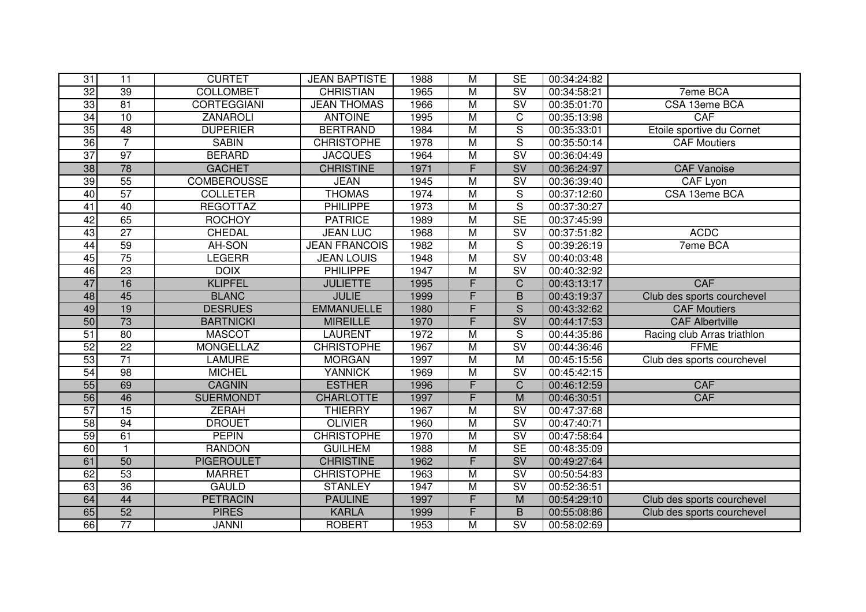| 31              | $\overline{11}$ | <b>CURTET</b>      | <b>JEAN BAPTISTE</b> | 1988 | $\overline{M}$          | <b>SE</b>                         | 00:34:24:82 |                             |
|-----------------|-----------------|--------------------|----------------------|------|-------------------------|-----------------------------------|-------------|-----------------------------|
| $\overline{32}$ | 39              | <b>COLLOMBET</b>   | <b>CHRISTIAN</b>     | 1965 | $\overline{\mathsf{M}}$ | $\overline{\mathsf{sv}}$          | 00:34:58:21 | <b>7eme BCA</b>             |
| 33              | 81              | <b>CORTEGGIANI</b> | <b>JEAN THOMAS</b>   | 1966 | $\overline{\mathsf{M}}$ | SV                                | 00:35:01:70 | CSA 13eme BCA               |
| 34              | 10              | <b>ZANAROLI</b>    | <b>ANTOINE</b>       | 1995 | $\overline{\mathsf{M}}$ | $\overline{C}$                    | 00:35:13:98 | <b>CAF</b>                  |
| 35              | $\overline{48}$ | <b>DUPERIER</b>    | <b>BERTRAND</b>      | 1984 | $\overline{M}$          | $\mathsf S$                       | 00:35:33:01 | Etoile sportive du Cornet   |
| 36              | $\overline{7}$  | <b>SABIN</b>       | <b>CHRISTOPHE</b>    | 1978 | $\overline{\mathsf{M}}$ | $\overline{\mathsf{s}}$           | 00:35:50:14 | <b>CAF Moutiers</b>         |
| $\overline{37}$ | $\overline{97}$ | <b>BERARD</b>      | <b>JACQUES</b>       | 1964 | M                       | $\overline{\mathsf{S}}\mathsf{V}$ | 00:36:04:49 |                             |
| 38              | 78              | <b>GACHET</b>      | <b>CHRISTINE</b>     | 1971 | F.                      | SV                                | 00:36:24:97 | <b>CAF Vanoise</b>          |
| 39              | 55              | <b>COMBEROUSSE</b> | <b>JEAN</b>          | 1945 | $\overline{\mathsf{M}}$ | $\overline{\mathsf{sv}}$          | 00:36:39:40 | CAF Lyon                    |
| 40              | 57              | <b>COLLETER</b>    | <b>THOMAS</b>        | 1974 | $\overline{M}$          | $\overline{\mathsf{s}}$           | 00:37:12:60 | CSA 13eme BCA               |
| $\overline{41}$ | $\overline{40}$ | <b>REGOTTAZ</b>    | <b>PHILIPPE</b>      | 1973 | $\overline{M}$          | $\overline{\mathsf{s}}$           | 00:37:30:27 |                             |
| 42              | 65              | <b>ROCHOY</b>      | <b>PATRICE</b>       | 1989 | M                       | <b>SE</b>                         | 00:37:45:99 |                             |
| 43              | $\overline{27}$ | <b>CHEDAL</b>      | <b>JEAN LUC</b>      | 1968 | M                       | $\overline{\mathsf{SV}}$          | 00:37:51:82 | <b>ACDC</b>                 |
| 44              | 59              | AH-SON             | <b>JEAN FRANCOIS</b> | 1982 | M                       | $\overline{S}$                    | 00:39:26:19 | 7eme BCA                    |
| 45              | 75              | LEGERR             | <b>JEAN LOUIS</b>    | 1948 | $\overline{M}$          | SV                                | 00:40:03:48 |                             |
| 46              | $\overline{23}$ | <b>DOIX</b>        | <b>PHILIPPE</b>      | 1947 | $\overline{M}$          | $\overline{\mathsf{S}}\mathsf{V}$ | 00:40:32:92 |                             |
| 47              | 16              | <b>KLIPFEL</b>     | <b>JULIETTE</b>      | 1995 | F                       | $\mathsf C$                       | 00:43:13:17 | <b>CAF</b>                  |
| 48              | 45              | <b>BLANC</b>       | <b>JULIE</b>         | 1999 | F                       | $\overline{B}$                    | 00:43:19:37 | Club des sports courchevel  |
| 49              | 19              | <b>DESRUES</b>     | <b>EMMANUELLE</b>    | 1980 | F.                      | $\overline{S}$                    | 00:43:32:62 | <b>CAF Moutiers</b>         |
| 50              | 73              | <b>BARTNICKI</b>   | <b>MIREILLE</b>      | 1970 | F                       | SV                                | 00:44:17:53 | <b>CAF Albertville</b>      |
| $\overline{51}$ | 80              | <b>MASCOT</b>      | <b>LAURENT</b>       | 1972 | $\overline{M}$          | $\overline{\mathsf{s}}$           | 00:44:35:86 | Racing club Arras triathlon |
| 52              | $\overline{22}$ | <b>MONGELLAZ</b>   | <b>CHRISTOPHE</b>    | 1967 | $\overline{M}$          | SV                                | 00:44:36:46 | <b>FFME</b>                 |
| 53              | $\overline{71}$ | <b>LAMURE</b>      | <b>MORGAN</b>        | 1997 | $\overline{M}$          | $\overline{M}$                    | 00:45:15:56 | Club des sports courchevel  |
| 54              | 98              | <b>MICHEL</b>      | <b>YANNICK</b>       | 1969 | $\overline{M}$          | SV                                | 00:45:42:15 |                             |
| 55              | 69              | <b>CAGNIN</b>      | <b>ESTHER</b>        | 1996 | F                       | $\overline{C}$                    | 00:46:12:59 | CAF                         |
| 56              | 46              | <b>SUERMONDT</b>   | <b>CHARLOTTE</b>     | 1997 | $\overline{\mathsf{F}}$ | $\overline{M}$                    | 00:46:30:51 | <b>CAF</b>                  |
| 57              | 15              | <b>ZERAH</b>       | <b>THIERRY</b>       | 1967 | $\overline{M}$          | SV                                | 00:47:37:68 |                             |
| 58              | 94              | <b>DROUET</b>      | <b>OLIVIER</b>       | 1960 | $\overline{M}$          | SV                                | 00:47:40:71 |                             |
| 59              | 61              | <b>PEPIN</b>       | <b>CHRISTOPHE</b>    | 1970 | $\overline{\mathsf{M}}$ | SV                                | 00:47:58:64 |                             |
| 60              |                 | <b>RANDON</b>      | <b>GUILHEM</b>       | 1988 | $\overline{\mathsf{M}}$ | <b>SE</b>                         | 00:48:35:09 |                             |
| 61              | 50              | <b>PIGEROULET</b>  | <b>CHRISTINE</b>     | 1962 | F                       | SV                                | 00:49:27:64 |                             |
| 62              | 53              | <b>MARRET</b>      | <b>CHRISTOPHE</b>    | 1963 | $\overline{M}$          | SV                                | 00:50:54:83 |                             |
| 63              | $\overline{36}$ | <b>GAULD</b>       | <b>STANLEY</b>       | 1947 | $\overline{M}$          | $\overline{\text{SV}}$            | 00:52:36:51 |                             |
| 64              | 44              | <b>PETRACIN</b>    | <b>PAULINE</b>       | 1997 | F.                      | M                                 | 00:54:29:10 | Club des sports courchevel  |
| 65              | 52              | <b>PIRES</b>       | <b>KARLA</b>         | 1999 | F                       | $\overline{B}$                    | 00:55:08:86 | Club des sports courchevel  |
| 66              | $\overline{77}$ | <b>JANNI</b>       | <b>ROBERT</b>        | 1953 | M                       | $\overline{\text{SV}}$            | 00:58:02:69 |                             |